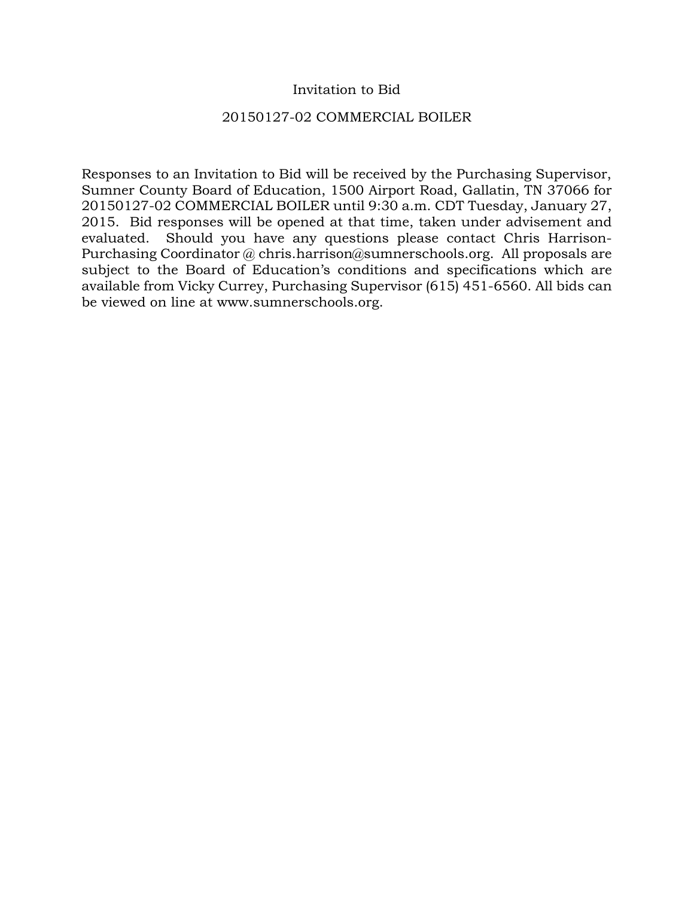## Invitation to Bid

## 20150127-02 COMMERCIAL BOILER

Responses to an Invitation to Bid will be received by the Purchasing Supervisor, Sumner County Board of Education, 1500 Airport Road, Gallatin, TN 37066 for 20150127-02 COMMERCIAL BOILER until 9:30 a.m. CDT Tuesday, January 27, 2015. Bid responses will be opened at that time, taken under advisement and evaluated. Should you have any questions please contact Chris Harrison-Purchasing Coordinator @ chris.harrison@sumnerschools.org. All proposals are subject to the Board of Education's conditions and specifications which are available from Vicky Currey, Purchasing Supervisor (615) 451-6560. All bids can be viewed on line at www.sumnerschools.org.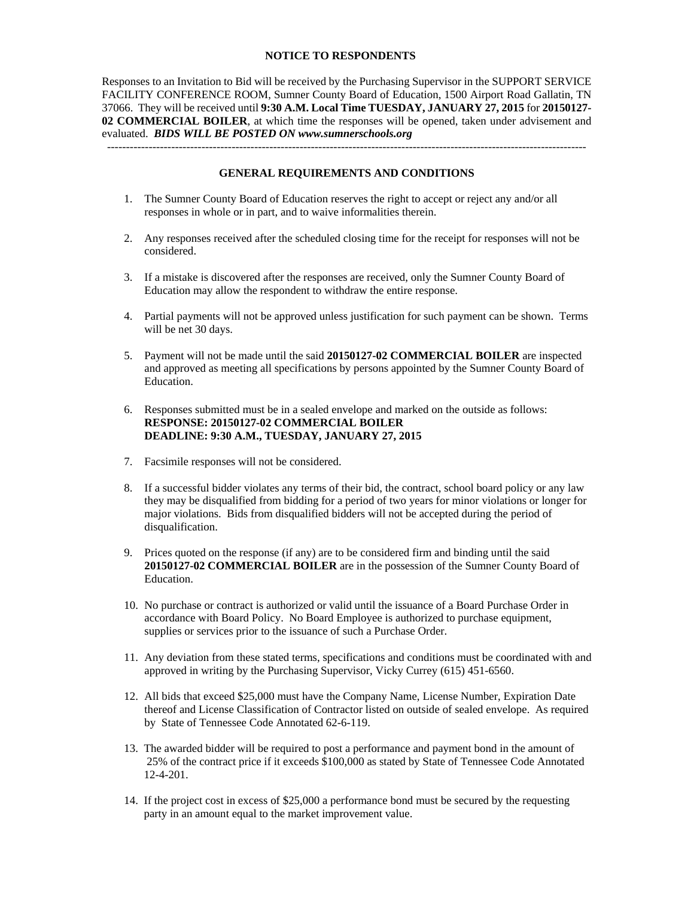### **NOTICE TO RESPONDENTS**

Responses to an Invitation to Bid will be received by the Purchasing Supervisor in the SUPPORT SERVICE FACILITY CONFERENCE ROOM, Sumner County Board of Education, 1500 Airport Road Gallatin, TN 37066. They will be received until **9:30 A.M. Local Time TUESDAY, JANUARY 27, 2015** for **20150127- 02 COMMERCIAL BOILER**, at which time the responses will be opened, taken under advisement and evaluated. *BIDS WILL BE POSTED ON www.sumnerschools.org* 

#### **GENERAL REQUIREMENTS AND CONDITIONS**

-------------------------------------------------------------------------------------------------------------------------------

- 1. The Sumner County Board of Education reserves the right to accept or reject any and/or all responses in whole or in part, and to waive informalities therein.
- 2. Any responses received after the scheduled closing time for the receipt for responses will not be considered.
- 3. If a mistake is discovered after the responses are received, only the Sumner County Board of Education may allow the respondent to withdraw the entire response.
- 4. Partial payments will not be approved unless justification for such payment can be shown. Terms will be net 30 days.
- 5. Payment will not be made until the said **20150127-02 COMMERCIAL BOILER** are inspected and approved as meeting all specifications by persons appointed by the Sumner County Board of Education.
- 6. Responses submitted must be in a sealed envelope and marked on the outside as follows: **RESPONSE: 20150127-02 COMMERCIAL BOILER DEADLINE: 9:30 A.M., TUESDAY, JANUARY 27, 2015**
- 7. Facsimile responses will not be considered.
- 8. If a successful bidder violates any terms of their bid, the contract, school board policy or any law they may be disqualified from bidding for a period of two years for minor violations or longer for major violations. Bids from disqualified bidders will not be accepted during the period of disqualification.
- 9. Prices quoted on the response (if any) are to be considered firm and binding until the said **20150127-02 COMMERCIAL BOILER** are in the possession of the Sumner County Board of Education.
- 10. No purchase or contract is authorized or valid until the issuance of a Board Purchase Order in accordance with Board Policy. No Board Employee is authorized to purchase equipment, supplies or services prior to the issuance of such a Purchase Order.
- 11. Any deviation from these stated terms, specifications and conditions must be coordinated with and approved in writing by the Purchasing Supervisor, Vicky Currey (615) 451-6560.
- 12. All bids that exceed \$25,000 must have the Company Name, License Number, Expiration Date thereof and License Classification of Contractor listed on outside of sealed envelope. As required by State of Tennessee Code Annotated 62-6-119.
- 13. The awarded bidder will be required to post a performance and payment bond in the amount of 25% of the contract price if it exceeds \$100,000 as stated by State of Tennessee Code Annotated 12-4-201.
- 14. If the project cost in excess of \$25,000 a performance bond must be secured by the requesting party in an amount equal to the market improvement value.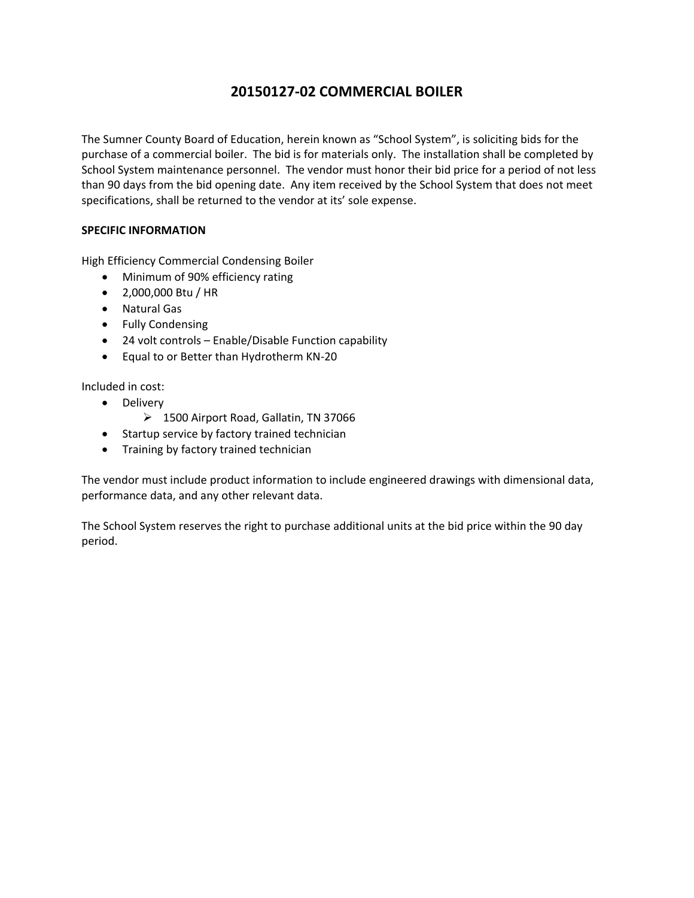# **20150127‐02 COMMERCIAL BOILER**

The Sumner County Board of Education, herein known as "School System", is soliciting bids for the purchase of a commercial boiler. The bid is for materials only. The installation shall be completed by School System maintenance personnel. The vendor must honor their bid price for a period of not less than 90 days from the bid opening date. Any item received by the School System that does not meet specifications, shall be returned to the vendor at its' sole expense.

### **SPECIFIC INFORMATION**

High Efficiency Commercial Condensing Boiler

- Minimum of 90% efficiency rating
- 2,000,000 Btu / HR
- Natural Gas
- Fully Condensing
- 24 volt controls Enable/Disable Function capability
- Equal to or Better than Hydrotherm KN‐20

## Included in cost:

- Delivery
	- ▶ 1500 Airport Road, Gallatin, TN 37066
- Startup service by factory trained technician
- Training by factory trained technician

The vendor must include product information to include engineered drawings with dimensional data, performance data, and any other relevant data.

The School System reserves the right to purchase additional units at the bid price within the 90 day period.